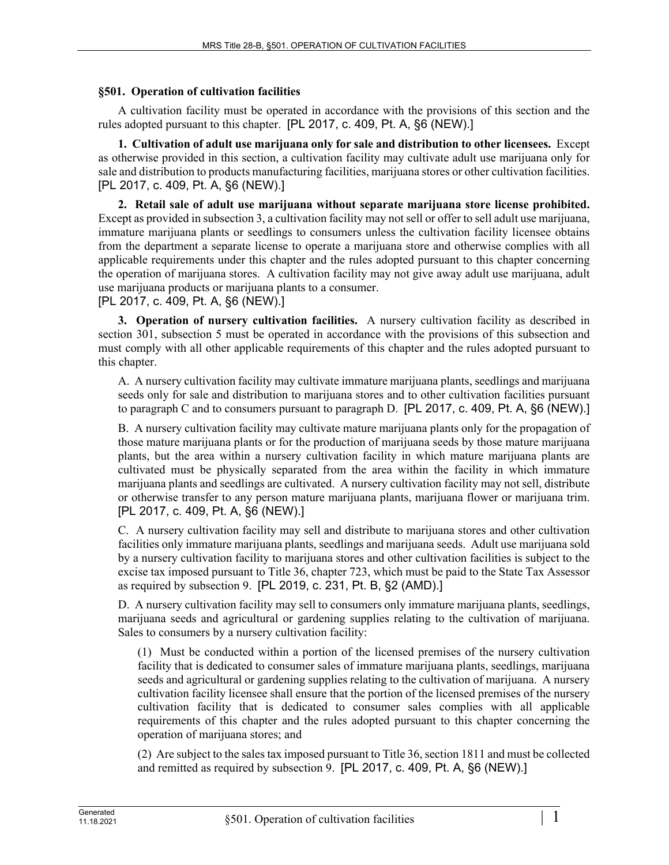## **§501. Operation of cultivation facilities**

A cultivation facility must be operated in accordance with the provisions of this section and the rules adopted pursuant to this chapter. [PL 2017, c. 409, Pt. A, §6 (NEW).]

**1. Cultivation of adult use marijuana only for sale and distribution to other licensees.** Except as otherwise provided in this section, a cultivation facility may cultivate adult use marijuana only for sale and distribution to products manufacturing facilities, marijuana stores or other cultivation facilities. [PL 2017, c. 409, Pt. A, §6 (NEW).]

**2. Retail sale of adult use marijuana without separate marijuana store license prohibited.**  Except as provided in subsection 3, a cultivation facility may not sell or offer to sell adult use marijuana, immature marijuana plants or seedlings to consumers unless the cultivation facility licensee obtains from the department a separate license to operate a marijuana store and otherwise complies with all applicable requirements under this chapter and the rules adopted pursuant to this chapter concerning the operation of marijuana stores. A cultivation facility may not give away adult use marijuana, adult use marijuana products or marijuana plants to a consumer.

## [PL 2017, c. 409, Pt. A, §6 (NEW).]

**3. Operation of nursery cultivation facilities.** A nursery cultivation facility as described in section 301, subsection 5 must be operated in accordance with the provisions of this subsection and must comply with all other applicable requirements of this chapter and the rules adopted pursuant to this chapter.

A. A nursery cultivation facility may cultivate immature marijuana plants, seedlings and marijuana seeds only for sale and distribution to marijuana stores and to other cultivation facilities pursuant to paragraph C and to consumers pursuant to paragraph D. [PL 2017, c. 409, Pt. A, §6 (NEW).]

B. A nursery cultivation facility may cultivate mature marijuana plants only for the propagation of those mature marijuana plants or for the production of marijuana seeds by those mature marijuana plants, but the area within a nursery cultivation facility in which mature marijuana plants are cultivated must be physically separated from the area within the facility in which immature marijuana plants and seedlings are cultivated. A nursery cultivation facility may not sell, distribute or otherwise transfer to any person mature marijuana plants, marijuana flower or marijuana trim. [PL 2017, c. 409, Pt. A, §6 (NEW).]

C. A nursery cultivation facility may sell and distribute to marijuana stores and other cultivation facilities only immature marijuana plants, seedlings and marijuana seeds. Adult use marijuana sold by a nursery cultivation facility to marijuana stores and other cultivation facilities is subject to the excise tax imposed pursuant to Title 36, chapter 723, which must be paid to the State Tax Assessor as required by subsection 9. [PL 2019, c. 231, Pt. B, §2 (AMD).]

D. A nursery cultivation facility may sell to consumers only immature marijuana plants, seedlings, marijuana seeds and agricultural or gardening supplies relating to the cultivation of marijuana. Sales to consumers by a nursery cultivation facility:

(1) Must be conducted within a portion of the licensed premises of the nursery cultivation facility that is dedicated to consumer sales of immature marijuana plants, seedlings, marijuana seeds and agricultural or gardening supplies relating to the cultivation of marijuana. A nursery cultivation facility licensee shall ensure that the portion of the licensed premises of the nursery cultivation facility that is dedicated to consumer sales complies with all applicable requirements of this chapter and the rules adopted pursuant to this chapter concerning the operation of marijuana stores; and

(2) Are subject to the sales tax imposed pursuant to Title 36, section 1811 and must be collected and remitted as required by subsection 9. [PL 2017, c. 409, Pt. A, §6 (NEW).]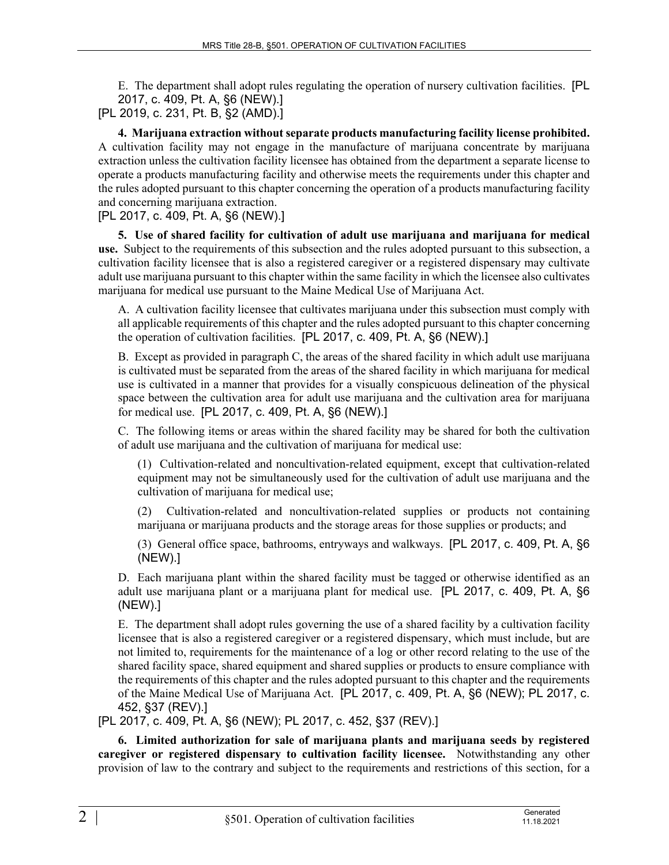E. The department shall adopt rules regulating the operation of nursery cultivation facilities. [PL 2017, c. 409, Pt. A, §6 (NEW).] [PL 2019, c. 231, Pt. B, §2 (AMD).]

**4. Marijuana extraction without separate products manufacturing facility license prohibited.**  A cultivation facility may not engage in the manufacture of marijuana concentrate by marijuana extraction unless the cultivation facility licensee has obtained from the department a separate license to operate a products manufacturing facility and otherwise meets the requirements under this chapter and the rules adopted pursuant to this chapter concerning the operation of a products manufacturing facility and concerning marijuana extraction.

## [PL 2017, c. 409, Pt. A, §6 (NEW).]

**5. Use of shared facility for cultivation of adult use marijuana and marijuana for medical use.** Subject to the requirements of this subsection and the rules adopted pursuant to this subsection, a cultivation facility licensee that is also a registered caregiver or a registered dispensary may cultivate adult use marijuana pursuant to this chapter within the same facility in which the licensee also cultivates marijuana for medical use pursuant to the Maine Medical Use of Marijuana Act.

A. A cultivation facility licensee that cultivates marijuana under this subsection must comply with all applicable requirements of this chapter and the rules adopted pursuant to this chapter concerning the operation of cultivation facilities. [PL 2017, c. 409, Pt. A, §6 (NEW).]

B. Except as provided in paragraph C, the areas of the shared facility in which adult use marijuana is cultivated must be separated from the areas of the shared facility in which marijuana for medical use is cultivated in a manner that provides for a visually conspicuous delineation of the physical space between the cultivation area for adult use marijuana and the cultivation area for marijuana for medical use. [PL 2017, c. 409, Pt. A, §6 (NEW).]

C. The following items or areas within the shared facility may be shared for both the cultivation of adult use marijuana and the cultivation of marijuana for medical use:

(1) Cultivation-related and noncultivation-related equipment, except that cultivation-related equipment may not be simultaneously used for the cultivation of adult use marijuana and the cultivation of marijuana for medical use;

(2) Cultivation-related and noncultivation-related supplies or products not containing marijuana or marijuana products and the storage areas for those supplies or products; and

(3) General office space, bathrooms, entryways and walkways. [PL 2017, c. 409, Pt. A, §6 (NEW).]

D. Each marijuana plant within the shared facility must be tagged or otherwise identified as an adult use marijuana plant or a marijuana plant for medical use. [PL 2017, c. 409, Pt. A, §6 (NEW).]

E. The department shall adopt rules governing the use of a shared facility by a cultivation facility licensee that is also a registered caregiver or a registered dispensary, which must include, but are not limited to, requirements for the maintenance of a log or other record relating to the use of the shared facility space, shared equipment and shared supplies or products to ensure compliance with the requirements of this chapter and the rules adopted pursuant to this chapter and the requirements of the Maine Medical Use of Marijuana Act. [PL 2017, c. 409, Pt. A, §6 (NEW); PL 2017, c. 452, §37 (REV).]

[PL 2017, c. 409, Pt. A, §6 (NEW); PL 2017, c. 452, §37 (REV).]

**6. Limited authorization for sale of marijuana plants and marijuana seeds by registered caregiver or registered dispensary to cultivation facility licensee.** Notwithstanding any other provision of law to the contrary and subject to the requirements and restrictions of this section, for a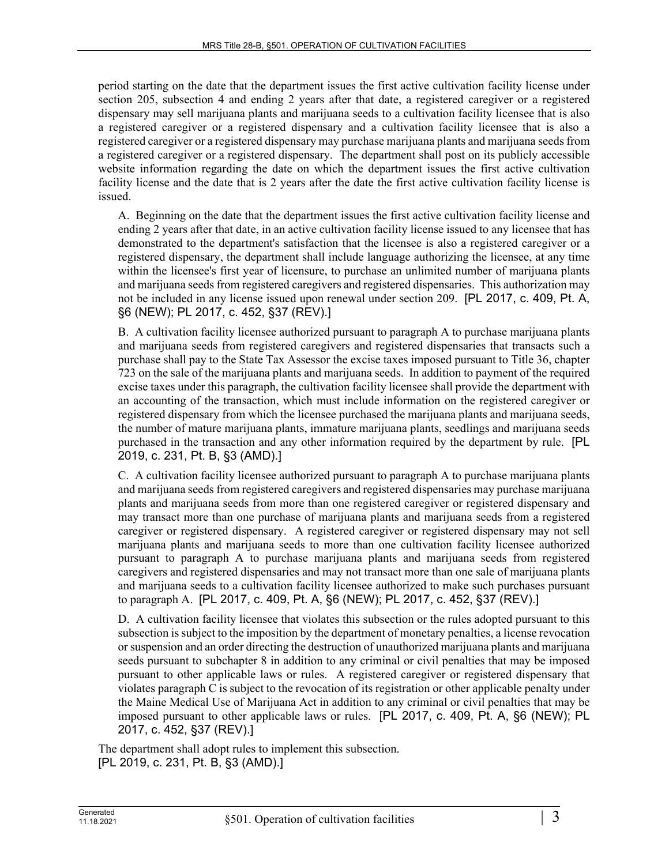period starting on the date that the department issues the first active cultivation facility license under section 205, subsection 4 and ending 2 years after that date, a registered caregiver or a registered dispensary may sell marijuana plants and marijuana seeds to a cultivation facility licensee that is also a registered caregiver or a registered dispensary and a cultivation facility licensee that is also a registered caregiver or a registered dispensary may purchase marijuana plants and marijuana seeds from a registered caregiver or a registered dispensary. The department shall post on its publicly accessible website information regarding the date on which the department issues the first active cultivation facility license and the date that is 2 years after the date the first active cultivation facility license is issued.

A. Beginning on the date that the department issues the first active cultivation facility license and ending 2 years after that date, in an active cultivation facility license issued to any licensee that has demonstrated to the department's satisfaction that the licensee is also a registered caregiver or a registered dispensary, the department shall include language authorizing the licensee, at any time within the licensee's first year of licensure, to purchase an unlimited number of marijuana plants and marijuana seeds from registered caregivers and registered dispensaries. This authorization may not be included in any license issued upon renewal under section 209. [PL 2017, c. 409, Pt. A, §6 (NEW); PL 2017, c. 452, §37 (REV).]

B. A cultivation facility licensee authorized pursuant to paragraph A to purchase marijuana plants and marijuana seeds from registered caregivers and registered dispensaries that transacts such a purchase shall pay to the State Tax Assessor the excise taxes imposed pursuant to Title 36, chapter 723 on the sale of the marijuana plants and marijuana seeds. In addition to payment of the required excise taxes under this paragraph, the cultivation facility licensee shall provide the department with an accounting of the transaction, which must include information on the registered caregiver or registered dispensary from which the licensee purchased the marijuana plants and marijuana seeds, the number of mature marijuana plants, immature marijuana plants, seedlings and marijuana seeds purchased in the transaction and any other information required by the department by rule. [PL 2019, c. 231, Pt. B, §3 (AMD).]

C. A cultivation facility licensee authorized pursuant to paragraph A to purchase marijuana plants and marijuana seeds from registered caregivers and registered dispensaries may purchase marijuana plants and marijuana seeds from more than one registered caregiver or registered dispensary and may transact more than one purchase of marijuana plants and marijuana seeds from a registered caregiver or registered dispensary. A registered caregiver or registered dispensary may not sell marijuana plants and marijuana seeds to more than one cultivation facility licensee authorized pursuant to paragraph A to purchase marijuana plants and marijuana seeds from registered caregivers and registered dispensaries and may not transact more than one sale of marijuana plants and marijuana seeds to a cultivation facility licensee authorized to make such purchases pursuant to paragraph A. [PL 2017, c. 409, Pt. A, §6 (NEW); PL 2017, c. 452, §37 (REV).]

D. A cultivation facility licensee that violates this subsection or the rules adopted pursuant to this subsection is subject to the imposition by the department of monetary penalties, a license revocation or suspension and an order directing the destruction of unauthorized marijuana plants and marijuana seeds pursuant to subchapter 8 in addition to any criminal or civil penalties that may be imposed pursuant to other applicable laws or rules. A registered caregiver or registered dispensary that violates paragraph C is subject to the revocation of its registration or other applicable penalty under the Maine Medical Use of Marijuana Act in addition to any criminal or civil penalties that may be imposed pursuant to other applicable laws or rules. [PL 2017, c. 409, Pt. A, §6 (NEW); PL 2017, c. 452, §37 (REV).]

The department shall adopt rules to implement this subsection. [PL 2019, c. 231, Pt. B, §3 (AMD).]